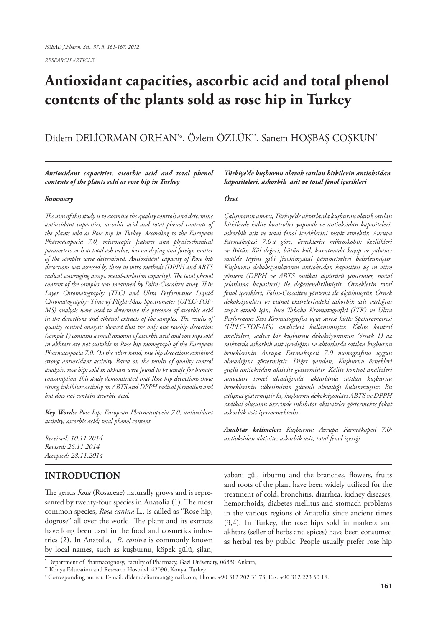*RESEARCH ARTICLE*

# **Antioxidant capacities, ascorbic acid and total phenol contents of the plants sold as rose hip in Turkey**

Didem DELİORMAN ORHAN\*o, Özlem ÖZLÜK\*\*, Sanem HOŞBAŞ COŞKUN\*

*Antioxidant capacities, ascorbic acid and total phenol contents of the plants sold as rose hip in Turkey*

#### *Summary*

*The aim of this study is to examine the quality controls and determine antioxidant capacities, ascorbic acid and total phenol contents of the plants sold as Rose hip in Turkey. According to the European Pharmacopoeia 7.0, microscopic features and physicochemical parameters such as total ash value, loss on drying and foreign matter of the samples were determined. Antioxidant capacity of Rose hip decoctions was assessed by three in vitro methods (DPPH and ABTS radical scavenging assays, metal-chelation capacity). The total phenol content of the samples was measured by Folin-Ciocalteu assay. Thin Layer Chromatography (TLC) and Ultra Performance Liquid Chromatography- Time-of-Flight-Mass Spectrometer (UPLC-TOF-MS) analysis were used to determine the presence of ascorbic acid in the decoctions and ethanol extracts of the samples. The results of quality control analysis showed that the only one rosehip decoction (sample 1) contains a small amount of ascorbic acid and rose hips sold in akhtars are not suitable to Rose hip monograph of the European Pharmacopoeia 7.0. On the other hand, rose hip decoctions exhibited strong antioxidant activity. Based on the results of quality control analysis, rose hips sold in akhtars were found to be unsafe for human consumption.This study demonstrated that Rose hip decoctions show strong inhibitor activity on ABTS and DPPH radical formation and but does not contain ascorbic acid.* 

*Key Words: Rose hip; European Pharmacopoeia 7.0; antioxidant activity; ascorbic acid; total phenol content*

*Received: 10.11.2014 Revised: 26.11.2014 Accepted: 28.11.2014*

## **INTRODUCTION**

The genus *Rosa* (Rosaceae) naturally grows and is represented by twenty-four species in Anatolia (1). The most common species, *Rosa canina* L.*,* is called as "Rose hip, dogrose" all over the world. The plant and its extracts have long been used in the food and cosmetics industries (2). In Anatolia, *R. canina* is commonly known by local names, such as kuşburnu, köpek gülü, şilan,

*Türkiye'de kuşburnu olarak satılan bitkilerin antioksidan kapasiteleri, askorbik asit ve total fenol içerikleri*

#### *Özet*

*Çalışmanın amacı, Türkiye'de aktarlarda kuşburnu olarak satılan bitkilerde kalite kontroller yapmak ve antioksidan kapasiteleri, askorbik asit ve total fenol içeriklerini tespit etmektir. Avrupa Farmakopesi 7.0'a göre, örneklerin mikroskobik özellikleri ve Bütün Kül değeri, bütün kül, kurutmada kayıp ve yabancı madde tayini gibi fizokimyasal parametreleri belirlenmiştir. Kuşburnu dekoksiyonlarının antioksidan kapasitesi üç in vitro yöntem (DPPH ve ABTS radikal süpürücü yöntemler, metal şelatlama kapasitesi) ile değerlendirilmiştir. Örneklerin total fenol içerikleri, Folin-Ciocalteu yöntemi ile ölçülmüştür. Örnek dekoksiyonları ve etanol ekstrelerindeki askorbik asit varlığını tespit etmek için, İnce Tabaka Kromatografisi (İTK) ve Ultra Performans Sıvı Kromatografisi-uçuş süresi-kütle Spektrometresi (UPLC-TOF-MS) analizleri kullanılmıştır. Kalite kontrol analizleri, sadece bir kuşburnu dekoksiyonunun (örnek 1) az miktarda askorbik asit içerdiğini ve aktarlarda satılan kuşburnu örneklerinin Avrupa Farmakopesi 7.0 monografına uygun olmadığını göstermiştir. Diğer yandan, Kuşburnu örnekleri güçlü antioksidan aktivite göstermiştir. Kalite kontrol analizleri sonuçları temel alındığında, aktarlarda satılan kuşburnu örneklerinin tüketiminin güvenli olmadığı bulunmuştur. Bu çalışma göstermiştir ki, kuşburnu dekoksiyonları ABTS ve DPPH radikal oluşumu üzerinde inhibitor aktiviteler göstermekte fakat askorbik asit içermemektedir.*

*Anahtar kelimeler: Kuşburnu; Avrupa Farmakopesi 7.0; antioksidan aktivite; askorbik asit; total fenol içeriği*

yabani gül, itburnu and the branches, flowers, fruits and roots of the plant have been widely utilized for the treatment of cold, bronchitis, diarrhea, kidney diseases, hemorrhoids, diabetes mellitus and stomach problems in the various regions of Anatolia since ancient times (3,4). In Turkey, the rose hips sold in markets and akhtars (seller of herbs and spices) have been consumed as herbal tea by public. People usually prefer rose hip

<sup>\*</sup> Department of Pharmacognosy, Faculty of Pharmacy, Gazi University, 06330 Ankara,

<sup>\*\*</sup> Konya Education and Research Hospital, 42090, Konya, Turkey

<sup>°</sup> Corresponding author. E-mail: didemdeliorman@gmail.com, Phone: +90 312 202 31 73; Fax: +90 312 223 50 18.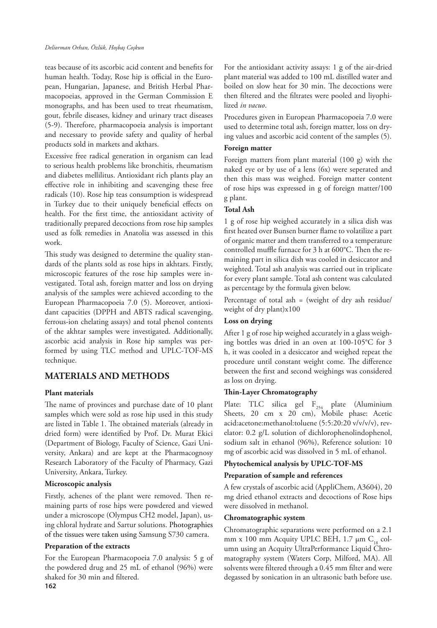#### *Deliorman Orhan, Özlük, Hoşbaş Coşkun*

teas because of its ascorbic acid content and benefits for human health. Today, Rose hip is official in the European, Hungarian, Japanese, and British Herbal Pharmacopoeias, approved in the German Commission E monographs, and has been used to treat rheumatism, gout, febrile diseases, kidney and urinary tract diseases (5-9). Therefore, pharmacopoeia analysis is important and necessary to provide safety and quality of herbal products sold in markets and akthars.

Excessive free radical generation in organism can lead to serious health problems like bronchitis, rheumatism and diabetes mellilitus. Antioxidant rich plants play an effective role in inhibiting and scavenging these free radicals (10). Rose hip teas consumption is widespread in Turkey due to their uniquely beneficial effects on health. For the first time, the antioxidant activity of traditionally prepared decoctions from rose hip samples used as folk remedies in Anatolia was assessed in this work.

This study was designed to determine the quality standards of the plants sold as rose hips in akhtars. Firstly, microscopic features of the rose hip samples were investigated. Total ash, foreign matter and loss on drying analysis of the samples were achieved according to the European Pharmacopoeia 7.0 (5). Moreover, antioxidant capacities (DPPH and ABTS radical scavenging, ferrous-ion chelating assays) and total phenol contents of the akhtar samples were investigated. Additionally, ascorbic acid analysis in Rose hip samples was performed by using TLC method and UPLC-TOF-MS technique.

# **MATERIALS AND METHODS**

## **Plant materials**

The name of provinces and purchase date of 10 plant samples which were sold as rose hip used in this study are listed in Table 1. The obtained materials (already in dried form) were identified by Prof. Dr. Murat Ekici (Department of Biology, Faculty of Science, Gazi University, Ankara) and are kept at the Pharmacognosy Research Laboratory of the Faculty of Pharmacy, Gazi University, Ankara, Turkey.

#### **Microscopic analysis**

Firstly, achenes of the plant were removed. Then remaining parts of rose hips were powdered and viewed under a microscope (Olympus CH2 model, Japan), using chloral hydrate and Sartur solutions. Photographies of the tissues were taken using Samsung S730 camera.

#### **Preparation of the extracts**

**162** For the European Pharmacopoeia 7.0 analysis: 5 g of the powdered drug and 25 mL of ethanol (96%) were shaked for 30 min and filtered.

For the antioxidant activity assays: 1 g of the air-dried plant material was added to 100 mL distilled water and boiled on slow heat for 30 min. The decoctions were then filtered and the filtrates were pooled and liyophilized *in vacuo*.

Procedures given in European Pharmacopoeia 7.0 were used to determine total ash, foreign matter, loss on drying values and ascorbic acid content of the samples (5).

#### **Foreign matter**

Foreign matters from plant material (100 g) with the naked eye or by use of a lens (6x) were seperated and then this mass was weighed. Foreign matter content of rose hips was expressed in g of foreign matter/100 g plant.

## **Total Ash**

1 g of rose hip weighed accurately in a silica dish was first heated over Bunsen burner flame to volatilize a part of organic matter and them transferred to a temperature controlled muffle furnace for 3 h at 600°C. Then the remaining part in silica dish was cooled in desiccator and weighted. Total ash analysis was carried out in triplicate for every plant sample. Total ash content was calculated as percentage by the formula given below.

Percentage of total ash = (weight of dry ash residue/ weight of dry plant)x100

## **Loss on drying**

After 1 g of rose hip weighed accurately in a glass weighing bottles was dried in an oven at 100-105°C for 3 h, it was cooled in a desiccator and weighed repeat the procedure until constant weight come. The difference between the first and second weighings was considered as loss on drying.

## **Thin-Layer Chromatography**

Plate: TLC silica gel  $F_{254}$  plate (Aluminium Sheets, 20 cm x 20 cm), Mobile phase: Acetic acid:acetone:methanol:toluene (5:5:20:20 v/v/v/v), revelator: 0.2 g/L solution of dichlorophenolindophenol, sodium salt in ethanol (96%), Reference solution: 10 mg of ascorbic acid was dissolved in 5 mL of ethanol.

## **Phytochemical analysis by UPLC-TOF-MS**

## **Preparation of sample and references**

A few crystals of ascorbic acid (AppliChem, A3604), 20 mg dried ethanol extracts and decoctions of Rose hips were dissolved in methanol.

#### **Chromatographic system**

Chromatographic separations were performed on a 2.1 mm x 100 mm Acquity UPLC BEH,  $1.7 \mu m C_{18}$  column using an Acquity UltraPerformance Liquid Chromatography system (Waters Corp, Milford, MA). All solvents were filtered through a 0.45 mm filter and were degassed by sonication in an ultrasonic bath before use.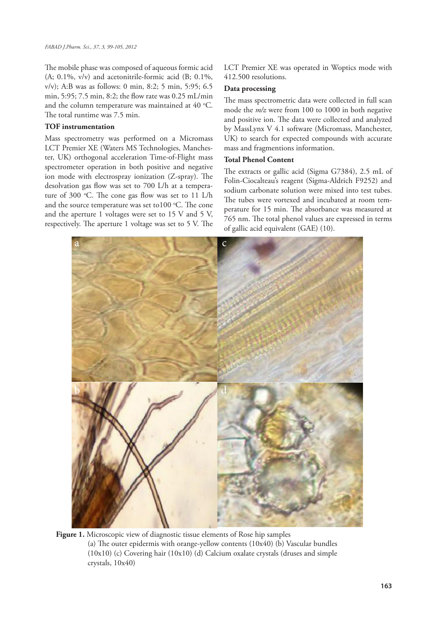The mobile phase was composed of aqueous formic acid  $(A; 0.1\%, v/v)$  and acetonitrile-formic acid  $(B; 0.1\%,$ v/v); A:B was as follows: 0 min, 8:2; 5 min, 5:95; 6.5 min, 5:95; 7.5 min, 8:2; the flow rate was 0.25 mL/min and the column temperature was maintained at  $40^{\circ}$ C. The total runtime was 7.5 min.

#### **TOF instrumentation**

Mass spectrometry was performed on a Micromass LCT Premier XE (Waters MS Technologies, Manchester, UK) orthogonal acceleration Time-of-Flight mass spectrometer operation in both positive and negative ion mode with electrospray ionization (Z-spray). The desolvation gas flow was set to 700 L/h at a temperature of 300 °C. The cone gas flow was set to 11 L/h and the source temperature was set to $100$  °C. The cone and the aperture 1 voltages were set to 15 V and 5 V, respectively. The aperture 1 voltage was set to 5 V. The

LCT Premier XE was operated in Woptics mode with 412.500 resolutions.

#### **Data processing**

The mass spectrometric data were collected in full scan mode the *m/z* were from 100 to 1000 in both negative and positive ion. The data were collected and analyzed by MassLynx V 4.1 software (Micromass, Manchester, UK) to search for expected compounds with accurate mass and fragmentions information.

#### **Total Phenol Content**

The extracts or gallic acid (Sigma G7384), 2.5 mL of Folin-Ciocalteau's reagent (Sigma-Aldrich F9252) and sodium carbonate solution were mixed into test tubes. The tubes were vortexed and incubated at room temperature for 15 min. The absorbance was measured at 765 nm. The total phenol values are expressed in terms of gallic acid equivalent (GAE) (10).



**Figure 1.** Microscopic view of diagnostic tissue elements of Rose hip samples (a) The outer epidermis with orange-yellow contents (10x40) (b) Vascular bundles (10x10) (c) Covering hair (10x10) (d) Calcium oxalate crystals (druses and simple crystals, 10x40)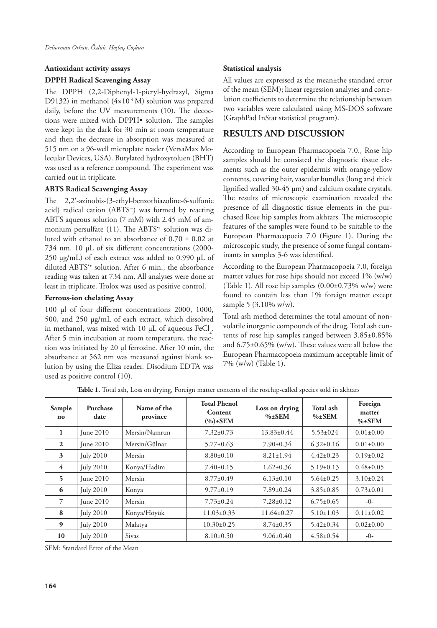#### **Antioxidant activity assays**

#### **DPPH Radical Scavenging Assay**

The DPPH (2,2-Diphenyl-1-picryl-hydrazyl, Sigma D9132) in methanol  $(4 \times 10^{-4} \text{ M})$  solution was prepared daily, before the UV measurements (10). The decoctions were mixed with DPPH• solution. The samples were kept in the dark for 30 min at room temperature and then the decrease in absorption was measured at 515 nm on a 96-well microplate reader (VersaMax Molecular Devices, USA). Butylated hydroxytoluen (BHT) was used as a reference compound. The experiment was carried out in triplicate.

## **ABTS Radical Scavenging Assay**

The 2,2′-azinobis-(3-ethyl-benzothiazoline-6-sulfonic acid) radical cation (ABTS<sup>+</sup>) was formed by reacting ABTS aqueous solution (7 mM) with 2.45 mM of ammonium persulfate (11). The ABTS<sup>\*\*</sup> solution was diluted with ethanol to an absorbance of  $0.70 \pm 0.02$  at 734 nm. 10 µL of six different concentrations (2000- 250 µg/mL) of each extract was added to 0.990 µL of diluted ABTS\*+ solution. After 6 min., the absorbance reading was taken at 734 nm. All analyses were done at least in triplicate. Trolox was used as positive control.

## **Ferrous-ion chelating Assay**

100 µl of four different concentrations 2000, 1000, 500, and 250 µg/mL of each extract, which dissolved in methanol, was mixed with 10  $\mu$ L of aqueous FeCl<sub>2</sub>. After 5 min incubation at room temperature, the reaction was initiated by 20 µl ferrozine. After 10 min, the absorbance at 562 nm was measured against blank solution by using the Eliza reader. Disodium EDTA was used as positive control (10).

#### **Statistical analysis**

All values are expressed as the mean±the standard error of the mean (SEM); linear regression analyses and correlation coefficients to determine the relationship between two variables were calculated using MS-DOS software (GraphPad InStat statistical program).

# **RESULTS AND DISCUSSION**

According to European Pharmacopoeia 7.0., Rose hip samples should be consisted the diagnostic tissue elements such as the outer epidermis with orange-yellow contents, covering hair, vascular bundles (long and thick lignified walled 30-45 µm) and calcium oxalate crystals. The results of microscopic examination revealed the presence of all diagnostic tissue elements in the purchased Rose hip samples from akhtars. The microscopic features of the samples were found to be suitable to the European Pharmacopoeia 7.0 (Figure 1). During the microscopic study, the presence of some fungal contaminants in samples 3-6 was identified.

According to the European Pharmacopoeia 7.0, foreign matter values for rose hips should not exceed 1% (w/w) (Table 1). All rose hip samples (0.00±0.73% w/w) were found to contain less than 1% foreign matter except sample 5 (3.10% w/w).

Total ash method determines the total amount of nonvolatile inorganic compounds of the drug. Total ash contents of rose hip samples ranged between 3.85±0.85% and 6.75±0.65% (w/w). These values were all below the European Pharmacopoeia maximum acceptable limit of 7% (w/w) (Table 1).

| Sample<br>no   | Purchase<br>date | Name of the<br>province | <b>Total Phenol</b><br>Content<br>$(\%) \pm SEM$ | Loss on drying<br>$\% \pm$ SEM | Total ash<br>$\% \pm$ SEM | Foreign<br>matter<br>$\% \pm$ SEM |
|----------------|------------------|-------------------------|--------------------------------------------------|--------------------------------|---------------------------|-----------------------------------|
| 1              | <b>Iune 2010</b> | Mersin/Namrun           | $7.32 \pm 0.73$                                  | $13.83 \pm 0.44$               | $5.53 \pm 0.24$           | $0.01 \pm 0.00$                   |
| $\overline{2}$ | <b>Iune 2010</b> | Mersin/Gülnar           | $5.77 \pm 0.63$                                  | $7.90 \pm 0.34$                | $6.32 \pm 0.16$           | $0.01 \pm 0.00$                   |
| 3              | <b>July 2010</b> | Mersin                  | $8.80 \pm 0.10$                                  | $8.21 \pm 1.94$                | $4.42 \pm 0.23$           | $0.19\pm0.02$                     |
| $\overline{4}$ | <b>July 2010</b> | Konya/Hadim             | $7.40 \pm 0.15$                                  | $1.62 \pm 0.36$                | $5.19 \pm 0.13$           | $0.48 \pm 0.05$                   |
| 5              | <b>Iune 2010</b> | Mersin                  | $8.77 \pm 0.49$                                  | $6.13 \pm 0.10$                | $5.64 \pm 0.25$           | $3.10 \pm 0.24$                   |
| 6              | <b>July 2010</b> | Konya                   | $9.77 \pm 0.19$                                  | $7.89 \pm 0.24$                | $3.85 \pm 0.85$           | $0.73 \pm 0.01$                   |
| 7              | <b>Iune 2010</b> | Mersin                  | $7.73 \pm 0.24$                                  | $7.28 \pm 0.12$                | $6.75 \pm 0.65$           | $-0-$                             |
| 8              | <b>July 2010</b> | Konya/Höyük             | $11.03 \pm 0.33$                                 | $11.64 \pm 0.27$               | $5.10 \pm 1.03$           | $0.11 \pm 0.02$                   |
| 9              | <b>July 2010</b> | Malatya                 | $10.30 \pm 0.25$                                 | $8.74 \pm 0.35$                | $5.42 \pm 0.34$           | $0.02 \pm 0.00$                   |
| 10             | <b>July 2010</b> | <b>Sivas</b>            | $8.10\pm0.50$                                    | $9.06 \pm 0.40$                | $4.58 \pm 0.54$           | $-0-$                             |

**Table 1.** Total ash, Loss on drying, Foreign matter contents of the rosehip-called species sold in akhtars

SEM: Standard Error of the Mean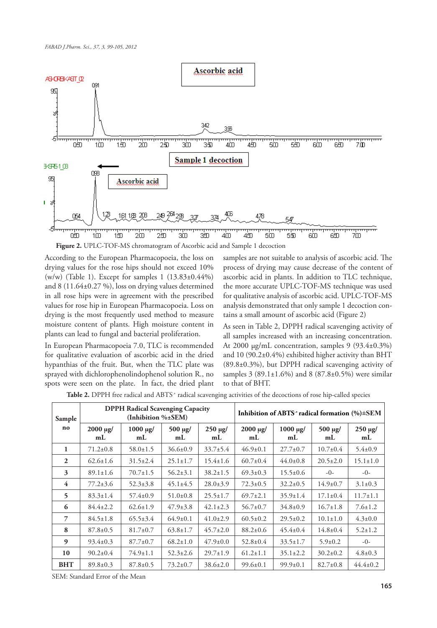

According to the European Pharmacopoeia, the loss on drying values for the rose hips should not exceed 10% (w/w) (Table 1). Except for samples 1 (13.83±0.44%) and 8 (11.64±0.27 %), loss on drying values determined in all rose hips were in agreement with the prescribed values for rose hip in European Pharmacopoeia. Loss on drying is the most frequently used method to measure moisture content of plants. High moisture content in plants can lead to fungal and bacterial proliferation.

In European Pharmacopoeia 7.0, TLC is recommended for qualitative evaluation of ascorbic acid in the dried hypanthias of the fruit. But, when the TLC plate was sprayed with dichlorophenolindophenol solution R., no spots were seen on the plate. In fact, the dried plant

samples are not suitable to analysis of ascorbic acid. The process of drying may cause decrease of the content of ascorbic acid in plants. In addition to TLC technique, the more accurate UPLC-TOF-MS technique was used for qualitative analysis of ascorbic acid. UPLC-TOF-MS analysis demonstrated that only sample 1 decoction contains a small amount of ascorbic acid (Figure 2)

As seen in Table 2, DPPH radical scavenging activity of all samples increased with an increasing concentration. At 2000 µg/mL concentration, samples 9 (93.4±0.3%) and 10 (90.2±0.4%) exhibited higher activity than BHT (89.8±0.3%), but DPPH radical scavenging activity of samples 3 (89.1 $\pm$ 1.6%) and 8 (87.8 $\pm$ 0.5%) were similar to that of BHT.

| Sample                   | <b>DPPH Radical Scavenging Capacity</b><br>(Inhibition %±SEM) |                         |                        |                   | Inhibition of ABTS <sup>+</sup> radical formation (%)±SEM |                         |                           |                        |
|--------------------------|---------------------------------------------------------------|-------------------------|------------------------|-------------------|-----------------------------------------------------------|-------------------------|---------------------------|------------------------|
| no                       | $2000 \mu g$ /<br>mL                                          | $1000 \text{ µg}$<br>mL | $500 \text{ µg}$<br>mL | $250 \mu g$<br>mL | $2000 \text{ µg}$<br>mL                                   | $1000 \text{ µg}$<br>mL | 500 µg/<br>m <sub>L</sub> | $250 \text{ µg}$<br>mL |
| 1                        | $71.2 \pm 0.8$                                                | $58.0 \pm 1.5$          | $36.6 \pm 0.9$         | $33.7 \pm 5.4$    | $46.9 \pm 0.1$                                            | $27.7 \pm 0.7$          | $10.7 \pm 0.4$            | $5.4 \pm 0.9$          |
| 2                        | $62.6 \pm 1.6$                                                | $31.5 \pm 2.4$          | $25.1 \pm 1.7$         | $15.4 \pm 1.6$    | $60.7 \pm 0.4$                                            | $44.0 \pm 0.8$          | $20.5 \pm 2.0$            | $15.1 \pm 1.0$         |
| 3                        | $89.1 \pm 1.6$                                                | $70.7 \pm 1.5$          | $56.2 \pm 3.1$         | $38.2 \pm 1.5$    | $69.3 \pm 0.3$                                            | $15.5 \pm 0.6$          | $-()$                     | $-0-$                  |
| 4                        | $77.2 \pm 3.6$                                                | $52.3 \pm 3.8$          | $45.1 \pm 4.5$         | $28.0 \pm 3.9$    | $72.3 \pm 0.5$                                            | $32.2 \pm 0.5$          | $14.9 \pm 0.7$            | $3.1 \pm 0.3$          |
| $\overline{\phantom{0}}$ | $83.3 \pm 1.4$                                                | $57.4 \pm 0.9$          | $51.0 \pm 0.8$         | $25.5 \pm 1.7$    | $69.7 \pm 2.1$                                            | $35.9 \pm 1.4$          | $17.1 \pm 0.4$            | $11.7 \pm 1.1$         |
| 6                        | $84.4 \pm 2.2$                                                | $62.6 \pm 1.9$          | $47.9 \pm 3.8$         | $42.1 \pm 2.3$    | $56.7 \pm 0.7$                                            | $34.8 \pm 0.9$          | $16.7 \pm 1.8$            | $7.6 \pm 1.2$          |
| 7                        | $84.5 \pm 1.8$                                                | $65.5 \pm 3.4$          | $64.9 \pm 0.1$         | $41.0 \pm 2.9$    | $60.5 \pm 0.2$                                            | $29.5 \pm 0.2$          | $10.1 \pm 1.0$            | $4.3 \pm 0.0$          |
| 8                        | $87.8 \pm 0.5$                                                | $81.7 \pm 0.7$          | $63.8 \pm 1.7$         | $45.7 \pm 2.0$    | $88.2 \pm 0.6$                                            | $45.4 \pm 0.4$          | $14.8 \pm 0.4$            | $5.2 \pm 1.2$          |
| $\boldsymbol{9}$         | $93.4 \pm 0.3$                                                | $87.7 \pm 0.7$          | $68.2 \pm 1.0$         | $47.9 \pm 0.0$    | $52.8 \pm 0.4$                                            | $33.5 \pm 1.7$          | $5.9 \pm 0.2$             | $-0-$                  |
| 10                       | $90.2 \pm 0.4$                                                | $74.9 \pm 1.1$          | $52.3 \pm 2.6$         | $29.7 \pm 1.9$    | $61.2 \pm 1.1$                                            | $35.1 \pm 2.2$          | $30.2 \pm 0.2$            | $4.8 \pm 0.3$          |
| <b>BHT</b>               | $89.8 \pm 0.3$                                                | $87.8 \pm 0.5$          | $73.2 \pm 0.7$         | $38.6 \pm 2.0$    | $99.6 \pm 0.1$                                            | $99.9 \pm 0.1$          | $82.7 \pm 0.8$            | $44.4 \pm 0.2$         |

Table 2. DPPH free radical and ABTS<sup>+</sup> radical scavenging activities of the decoctions of rose hip-called species

SEM: Standard Error of the Mean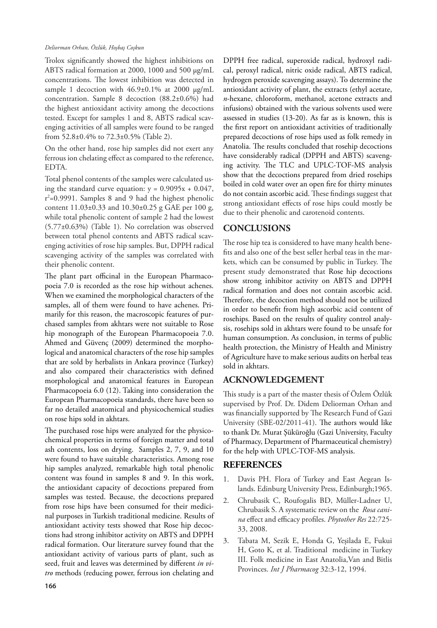#### *Deliorman Orhan, Özlük, Hoşbaş Coşkun*

Trolox significantly showed the highest inhibitions on ABTS radical formation at 2000, 1000 and 500 µg/mL concentrations. The lowest inhibition was detected in sample 1 decoction with  $46.9 \pm 0.1\%$  at 2000 µg/mL concentration. Sample 8 decoction (88.2±0.6%) had the highest antioxidant activity among the decoctions tested. Except for samples 1 and 8, ABTS radical scavenging activities of all samples were found to be ranged from 52.8±0.4% to 72.3±0.5% (Table 2).

On the other hand, rose hip samples did not exert any ferrous ion chelating effect as compared to the reference, EDTA.

Total phenol contents of the samples were calculated using the standard curve equation:  $y = 0.9095x + 0.047$ , r<sup>2</sup>=0.9991. Samples 8 and 9 had the highest phenolic content 11.03±0.33 and 10.30±0.25 g GAE per 100 g, while total phenolic content of sample 2 had the lowest (5.77±0.63%) (Table 1). No correlation was observed between total phenol contents and ABTS radical scavenging activities of rose hip samples. But, DPPH radical scavenging activity of the samples was correlated with their phenolic content.

The plant part officinal in the European Pharmacopoeia 7.0 is recorded as the rose hip without achenes. When we examined the morphological characters of the samples, all of them were found to have achenes. Primarily for this reason, the macroscopic features of purchased samples from akhtars were not suitable to Rose hip monograph of the European Pharmacopoeia 7.0. Ahmed and Güvenç (2009) determined the morphological and anatomical characters of the rose hip samples that are sold by herbalists in Ankara province (Turkey) and also compared their characteristics with defined morphological and anatomical features in European Pharmacopoeia 6.0 (12). Taking into consideration the European Pharmacopoeia standards, there have been so far no detailed anatomical and physicochemical studies on rose hips sold in akhtars.

The purchased rose hips were analyzed for the physicochemical properties in terms of foreign matter and total ash contents, loss on drying. Samples 2, 7, 9, and 10 were found to have suitable characteristics. Among rose hip samples analyzed, remarkable high total phenolic content was found in samples 8 and 9. In this work, the antioxidant capacity of decoctions prepared from samples was tested. Because, the decoctions prepared from rose hips have been consumed for their medicinal purposes in Turkish traditional medicine. Results of antioxidant activity tests showed that Rose hip decoctions had strong inhibitor activity on ABTS and DPPH radical formation. Our literature survey found that the antioxidant activity of various parts of plant, such as seed, fruit and leaves was determined by different *in vitro* methods (reducing power, ferrous ion chelating and

DPPH free radical, superoxide radical, hydroxyl radical, peroxyl radical, nitric oxide radical, ABTS radical, hydrogen peroxide scavenging assays). To determine the antioxidant activity of plant, the extracts (ethyl acetate, *n*-hexane, chloroform, methanol, acetone extracts and infusions) obtained with the various solvents used were assessed in studies (13-20). As far as is known, this is the first report on antioxidant activities of traditionally prepared decoctions of rose hips used as folk remedy in Anatolia. The results concluded that rosehip decoctions have considerably radical (DPPH and ABTS) scavenging activity. The TLC and UPLC-TOF-MS analysis show that the decoctions prepared from dried rosehips boiled in cold water over an open fire for thirty minutes do not contain ascorbic acid. These findings suggest that strong antioxidant effects of rose hips could mostly be due to their phenolic and carotenoid contents.

# **CONCLUSIONS**

The rose hip tea is considered to have many health benefits and also one of the best seller herbal teas in the markets, which can be consumed by public in Turkey. The present study demonstrated that Rose hip decoctions show strong inhibitor activity on ABTS and DPPH radical formation and does not contain ascorbic acid. Therefore, the decoction method should not be utilized in order to benefit from high ascorbic acid content of rosehips. Based on the results of quality control analysis, rosehips sold in akhtars were found to be unsafe for human consumption. As conclusion, in terms of public health protection, the Ministry of Health and Ministry of Agriculture have to make serious audits on herbal teas sold in akhtars.

# **ACKNOWLEDGEMENT**

This study is a part of the master thesis of Özlem Özlük supervised by Prof. Dr. Didem Deliorman Orhan and was financially supported by The Research Fund of Gazi University (SBE-02/2011-41). The authors would like to thank Dr. Murat Şüküroğlu (Gazi University, Faculty of Pharmacy, Department of Pharmaceutical chemistry) for the help with UPLC-TOF-MS analysis.

# **REFERENCES**

- 1. Davis PH. Flora of Turkey and East Aegean Islands. Edinburg University Press, Edinburgh;1965.
- 2. Chrubasik C, Roufogalis BD, Müller-Ladner U, Chrubasik S. A systematic review on the *Rosa canina* effect and efficacy profiles. *Phytother Res* 22:725- 33, 2008.
- 3. Tabata M, Sezik E, Honda G, Yeşilada E, Fukui H, Goto K, et al. Traditional medicine in Turkey III. Folk medicine in East Anatolia,Van and Bitlis Provinces. *Int J Pharmacog* 32:3-12, 1994.